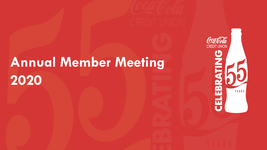# **Annual Member Meeting 2020**

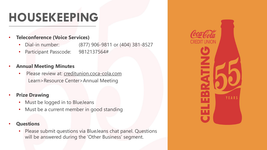### **HOUSEKEEPING**

- **Teleconference (Voice Services)**
	- Dial-in number: (877) 906-9811 or (404) 381-8527
	- Participant Passcode: 9812137564#
- **Annual Meeting Minutes**
	- Please review at: [creditunion.coca-cola.com](http://www.creditunion.coca-cola.com/) Learn>Resource Center>Annual Meeting
- **Prize Drawing**
	- Must be logged in to BlueJeans
	- Must be a current member in good standing
- **Questions**
	- Please submit questions via BlueJeans chat panel. Questions will be answered during the 'Other Business' segment.

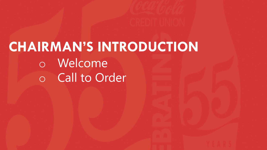# **CHAIRMAN'S INTRODUCTION** o Welcome o Call to Order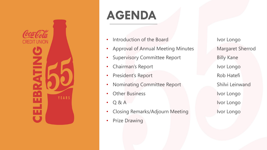

### **AGENDA**

- Introduction of the Board
- Approval of Annual Meeting Minutes
- Supervisory Committee Report
- Chairman's Report
- President's Report
- Nominating Committee Report
- **Other Business**
- Q & A
- Closing Remarks/Adjourn Meeting
- Prize Drawing

Ivor Longo Margaret Sherrod Billy Kane Ivor Longo Rob Hatefi Shilvi Leinwand Ivor Longo Ivor Longo Ivor Longo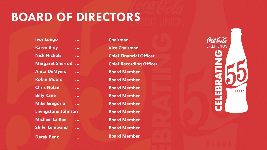# **BOARD OF DIRECTORS**

**Ivor Longo … Karen Brey … Nick Nichols … Margaret Sherrod … Anita DeMyers … Robin Moore … Chris Nolan … Billy Kane … Mike Gregorio … Livingstone Johnson Michael La Kier … Shilvi Leinwand … Derek Benz …** **Chairman Vice Chairman Chief Financial Officer Chief Recording Officer Board Member Board Member Board Member Board Member Board Member Board Member Board Member Board Member Board Member**

CELEB YEARS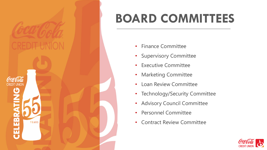

# **BOARD COMMITTEES**

- Finance Committee
- **Supervisory Committee**
- **Executive Committee**
- Marketing Committee
- Loan Review Committee
- Technology/Security Committee
- Advisory Council Committee
- Personnel Committee
- Contract Review Committee

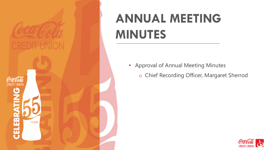

# **ANNUAL MEETING MINUTES**

- Approval of Annual Meeting Minutes
	- o Chief Recording Officer, Margaret Sherrod

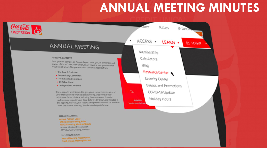#### **ANNUAL MEETING MINUTES**



Classified - Confidential

2020 ANNUAL REPORT

**Annual Petition Letter Official Prize Drawing Rules Annual Meeting Webinar Details** Annual Meeting Presentation 2019 Annual Meeting Minutes

2019 ANNUAL REPORT **Annual Meeting Presentation** 2018 Annual Meeting Minutes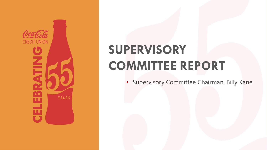

## **SUPERVISORY COMMITTEE REPORT**

• Supervisory Committee Chairman, Billy Kane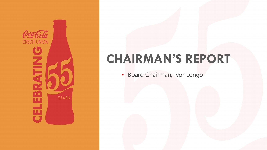

### **CHAIRMAN'S REPORT**

• Board Chairman, Ivor Longo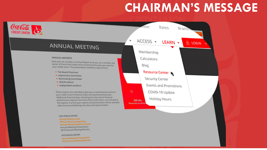#### **CHAIRMAN'S MESSAGE**



Classified - Confidential

2020 ANNUAL REPORT

**Annual Petition Letter Official Prize Drawing Rules Annual Meeting Webinar Details** Annual Meeting Presentation 2019 Annual Meeting Minutes

2019 ANNUAL REPORT **Annual Meeting Presentation** 2018 Annual Meeting Minutes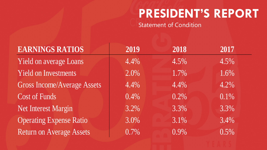### **PRESIDENT'S REPORT**

Statement of Condition

| <b>EARNINGS RATIOS</b>             | 2019 | 2018 | 2017    |
|------------------------------------|------|------|---------|
| <b>Yield on average Loans</b>      | 4.4% | 4.5% | 4.5%    |
| <b>Yield on Investments</b>        | 2.0% | 1.7% | 1.6%    |
| <b>Gross Income/Average Assets</b> | 4.4% | 4.4% | 4.2%    |
| <b>Cost of Funds</b>               | 0.4% | 0.2% | $0.1\%$ |
| <b>Net Interest Margin</b>         | 3.2% | 3.3% | 3.3%    |
| <b>Operating Expense Ratio</b>     | 3.0% | 3.1% | 3.4%    |
| <b>Return on Average Assets</b>    | 0.7% | 0.9% | 0.5%    |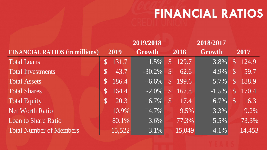#### **FINANCIAL RATIOS**

|                                       |               |        | 2019/2018 |               |        | 2018/2017 |   |        |
|---------------------------------------|---------------|--------|-----------|---------------|--------|-----------|---|--------|
| <b>FINANCIAL RATIOS (in millions)</b> |               | 2019   | Growth    |               | 2018   | Growth    |   | 2017   |
| <b>Total Loans</b>                    | S             | 131.7  | 1.5%      | $\mathbb{S}$  | 129.7  | 3.8%      | S | 124.9  |
| <b>Total Investments</b>              | $\mathcal{S}$ | 43.7   | $-30.2\%$ | $\mathcal{S}$ | 62.6   | $ 4.9\% $ | S | 59.7   |
| <b>Total Assets</b>                   | S             | 186.4  | $-6.6\%$  | S             | 199.6  | 5.7%      | S | 188.9  |
| <b>Total Shares</b>                   | S             | 164.4  | $-2.0\%$  | ${\cal S}$    | 167.8  | $-1.5\%$  | S | 170.4  |
| Total Equity                          | $\mathcal{S}$ | 20.3   | 16.7%     | $\mathcal{S}$ | 17.4   | 6.7%      | S | 16.3   |
| Net Worth Ratio                       |               | 10.9%  | 14.7%     |               | 9.5%   | 3.3%      |   | 9.2%   |
| <b>Loan to Share Ratio</b>            |               | 80.1%  | 3.6%      |               | 77.3%  | 5.5%      |   | 73.3%  |
| <b>Total Number of Members</b>        |               | 15,522 | 3.1%      |               | 15,049 | 4.1%      |   | 14,453 |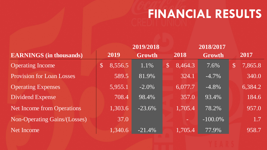### **FINANCIAL RESULTS**

|                                     | 2019/2018     |         |               | 2018/2017    |         |            |               |         |
|-------------------------------------|---------------|---------|---------------|--------------|---------|------------|---------------|---------|
| <b>EARNINGS</b> (in thousands)      |               | 2019    | <b>Growth</b> |              | 2018    | Growth     |               | 2017    |
| <b>Operating Income</b>             | $\mathcal{S}$ | 8,556.5 | 1.1%          | $\mathbb{S}$ | 8,464.3 | 7.6%       | $\mathcal{S}$ | 7,865.8 |
| <b>Provision for Loan Losses</b>    |               | 589.5   | 81.9%         |              | 324.1   | $-4.7\%$   |               | 340.0   |
| <b>Operating Expenses</b>           |               | 5,955.1 | $-2.0\%$      |              | 6,077.7 | $-4.8\%$   |               | 6,384.2 |
| <b>Dividend Expense</b>             |               | 708.4   | 98.4%         |              | 357.0   | 93.4%      |               | 184.6   |
| <b>Net Income from Operations</b>   |               | 1,303.6 | $-23.6%$      |              | 1,705.4 | 78.2%      |               | 957.0   |
| <b>Non-Operating Gains/(Losses)</b> |               | 37.0    |               |              |         | $-100.0\%$ |               | 1.7     |
| <b>Net Income</b>                   |               | 1,340.6 | $-21.4%$      |              | 1,705.4 | 77.9%      |               | 958.7   |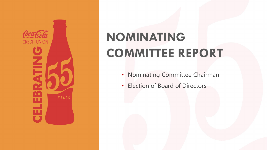

# **NOMINATING COMMITTEE REPORT**

- Nominating Committee Chairman
- Election of Board of Directors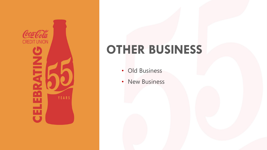

### **OTHER BUSINESS**

- Old Business
- New Business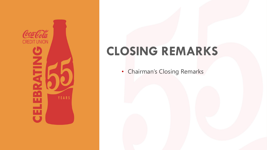

### **CLOSING REMARKS**

• Chairman's Closing Remarks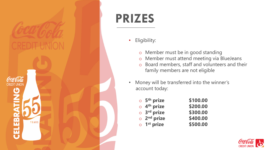

## **PRIZES**

- Eligibility:
	- o Member must be in good standing
	- o Member must attend meeting via BlueJeans
	- o Board members, staff and volunteers and their family members are not eligible
- Money will be transferred into the winner's account today:

| $\circ$ 5 <sup>th</sup> prize | \$100.00 |
|-------------------------------|----------|
| $\circ$ 4 <sup>th</sup> prize | \$200.00 |
| $\circ$ 3 <sup>rd</sup> prize | \$300.00 |
| $\circ$ 2 <sup>nd</sup> prize | \$400.00 |
| $\circ$ 1 <sup>st</sup> prize | \$500.00 |